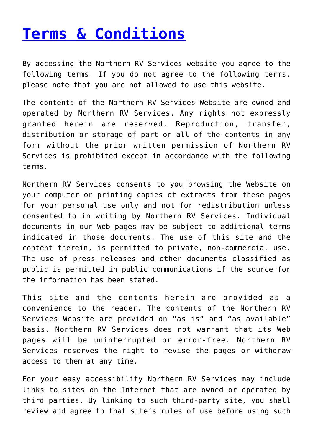## **[Terms & Conditions](https://www.northernrv.com.au/terms-conditions/)**

By accessing the Northern RV Services website you agree to the following terms. If you do not agree to the following terms, please note that you are not allowed to use this website.

The contents of the Northern RV Services Website are owned and operated by Northern RV Services. Any rights not expressly granted herein are reserved. Reproduction, transfer, distribution or storage of part or all of the contents in any form without the prior written permission of Northern RV Services is prohibited except in accordance with the following terms.

Northern RV Services consents to you browsing the Website on your computer or printing copies of extracts from these pages for your personal use only and not for redistribution unless consented to in writing by Northern RV Services. Individual documents in our Web pages may be subject to additional terms indicated in those documents. The use of this site and the content therein, is permitted to private, non-commercial use. The use of press releases and other documents classified as public is permitted in public communications if the source for the information has been stated.

This site and the contents herein are provided as a convenience to the reader. The contents of the Northern RV Services Website are provided on "as is" and "as available" basis. Northern RV Services does not warrant that its Web pages will be uninterrupted or error-free. Northern RV Services reserves the right to revise the pages or withdraw access to them at any time.

For your easy accessibility Northern RV Services may include links to sites on the Internet that are owned or operated by third parties. By linking to such third-party site, you shall review and agree to that site's rules of use before using such